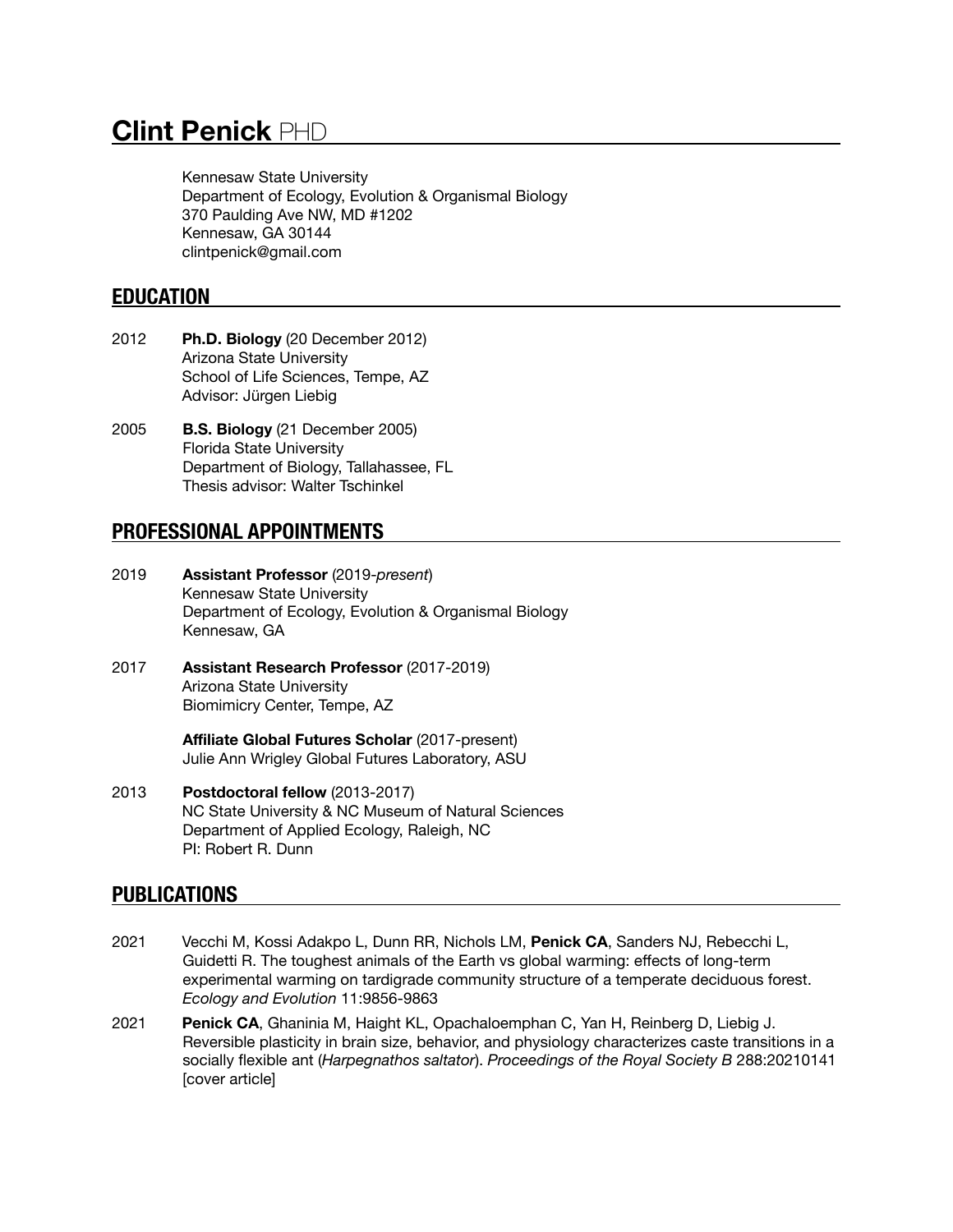# **Clint Penick** PHD

Kennesaw State University Department of Ecology, Evolution & Organismal Biology 370 Paulding Ave NW, MD #1202 Kennesaw, GA 30144 clintpenick@gmail.com

# **EDUCATION**

- 2012 **Ph.D. Biology** (20 December 2012) Arizona State University School of Life Sciences, Tempe, AZ Advisor: Jürgen Liebig
- 2005 **B.S. Biology** (21 December 2005) Florida State University Department of Biology, Tallahassee, FL Thesis advisor: Walter Tschinkel

# **PROFESSIONAL APPOINTMENTS**

- 2019 **Assistant Professor** (2019-*present*) Kennesaw State University Department of Ecology, Evolution & Organismal Biology Kennesaw, GA
- 2017 **Assistant Research Professor** (2017-2019) Arizona State University Biomimicry Center, Tempe, AZ

 **Affiliate Global Futures Scholar** (2017-present) Julie Ann Wrigley Global Futures Laboratory, ASU

2013 **Postdoctoral fellow** (2013-2017) NC State University & NC Museum of Natural Sciences Department of Applied Ecology, Raleigh, NC PI: Robert R. Dunn

# **PUBLICATIONS**

- 2021 Vecchi M, Kossi Adakpo L, Dunn RR, Nichols LM, **Penick CA**, Sanders NJ, Rebecchi L, Guidetti R. The toughest animals of the Earth vs global warming: effects of long-term experimental warming on tardigrade community structure of a temperate deciduous forest. *Ecology and Evolution* 11:9856-9863
- 2021 **Penick CA**, Ghaninia M, Haight KL, Opachaloemphan C, Yan H, Reinberg D, Liebig J. Reversible plasticity in brain size, behavior, and physiology characterizes caste transitions in a socially flexible ant (*Harpegnathos saltator*). *Proceedings of the Royal Society B* 288:20210141 [cover article]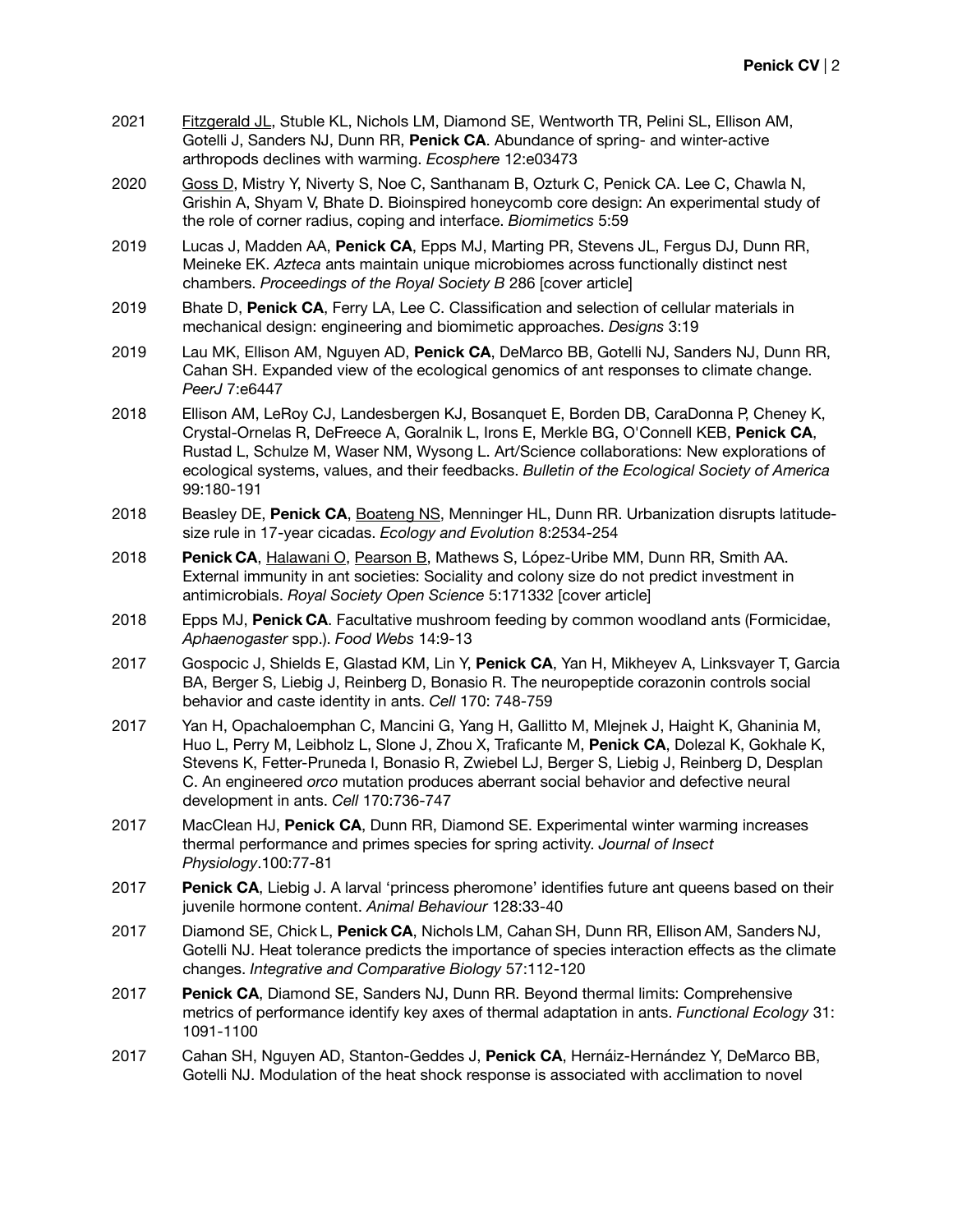- 2021 Fitzgerald JL, Stuble KL, Nichols LM, Diamond SE, Wentworth TR, Pelini SL, Ellison AM, Gotelli J, Sanders NJ, Dunn RR, **Penick CA**. Abundance of spring- and winter-active arthropods declines with warming. *Ecosphere* 12:e03473
- 2020 Goss D, Mistry Y, Niverty S, Noe C, Santhanam B, Ozturk C, Penick CA. Lee C, Chawla N, Grishin A, Shyam V, Bhate D. Bioinspired honeycomb core design: An experimental study of the role of corner radius, coping and interface. *Biomimetics* 5:59
- 2019 Lucas J, Madden AA, **Penick CA**, Epps MJ, Marting PR, Stevens JL, Fergus DJ, Dunn RR, Meineke EK. *Azteca* ants maintain unique microbiomes across functionally distinct nest chambers. *Proceedings of the Royal Society B* 286 [cover article]
- 2019 Bhate D, **Penick CA**, Ferry LA, Lee C. Classification and selection of cellular materials in mechanical design: engineering and biomimetic approaches. *Designs* 3:19
- 2019 Lau MK, Ellison AM, Nguyen AD, **Penick CA**, DeMarco BB, Gotelli NJ, Sanders NJ, Dunn RR, Cahan SH. Expanded view of the ecological genomics of ant responses to climate change. *PeerJ* 7:e6447
- 2018 Ellison AM, LeRoy CJ, Landesbergen KJ, Bosanquet E, Borden DB, CaraDonna P, Cheney K, Crystal-Ornelas R, DeFreece A, Goralnik L, Irons E, Merkle BG, O'Connell KEB, **Penick CA**, Rustad L, Schulze M, Waser NM, Wysong L. Art/Science collaborations: New explorations of ecological systems, values, and their feedbacks. *Bulletin of the Ecological Society of America*  99:180-191
- 2018 Beasley DE, **Penick CA**, Boateng NS, Menninger HL, Dunn RR. Urbanization disrupts latitudesize rule in 17-year cicadas. *Ecology and Evolution* 8:2534-254
- 2018 **Penick CA**, Halawani O, Pearson B, Mathews S, López-Uribe MM, Dunn RR, Smith AA. External immunity in ant societies: Sociality and colony size do not predict investment in antimicrobials. *Royal Society Open Science* 5:171332 [cover article]
- 2018 Epps MJ, **Penick CA**. Facultative mushroom feeding by common woodland ants (Formicidae, *Aphaenogaster* spp.). *Food Webs* 14:9-13
- 2017 Gospocic J, Shields E, Glastad KM, Lin Y, **Penick CA**, Yan H, Mikheyev A, Linksvayer T, Garcia BA, Berger S, Liebig J, Reinberg D, Bonasio R. The neuropeptide corazonin controls social behavior and caste identity in ants. *Cell* 170: 748-759
- 2017 Yan H, Opachaloemphan C, Mancini G, Yang H, Gallitto M, Mlejnek J, Haight K, Ghaninia M, Huo L, Perry M, Leibholz L, Slone J, Zhou X, Traficante M, **Penick CA**, Dolezal K, Gokhale K, Stevens K, Fetter-Pruneda I, Bonasio R, Zwiebel LJ, Berger S, Liebig J, Reinberg D, Desplan C. An engineered *orco* mutation produces aberrant social behavior and defective neural development in ants. *Cell* 170:736-747
- 2017 MacClean HJ, **Penick CA**, Dunn RR, Diamond SE. Experimental winter warming increases thermal performance and primes species for spring activity. *Journal of Insect Physiology*.100:77-81
- 2017 **Penick CA**, Liebig J. A larval 'princess pheromone' identifies future ant queens based on their juvenile hormone content. *Animal Behaviour* 128:33-40
- 2017 Diamond SE, Chick L, **Penick CA**, Nichols LM, Cahan SH, Dunn RR, Ellison AM, Sanders NJ, Gotelli NJ. Heat tolerance predicts the importance of species interaction effects as the climate changes. *Integrative and Comparative Biology* 57:112-120
- 2017 **Penick CA**, Diamond SE, Sanders NJ, Dunn RR. Beyond thermal limits: Comprehensive metrics of performance identify key axes of thermal adaptation in ants. *Functional Ecology* 31: 1091-1100
- 2017 Cahan SH, Nguyen AD, Stanton-Geddes J, **Penick CA**, Hernáiz-Hernández Y, DeMarco BB, Gotelli NJ. Modulation of the heat shock response is associated with acclimation to novel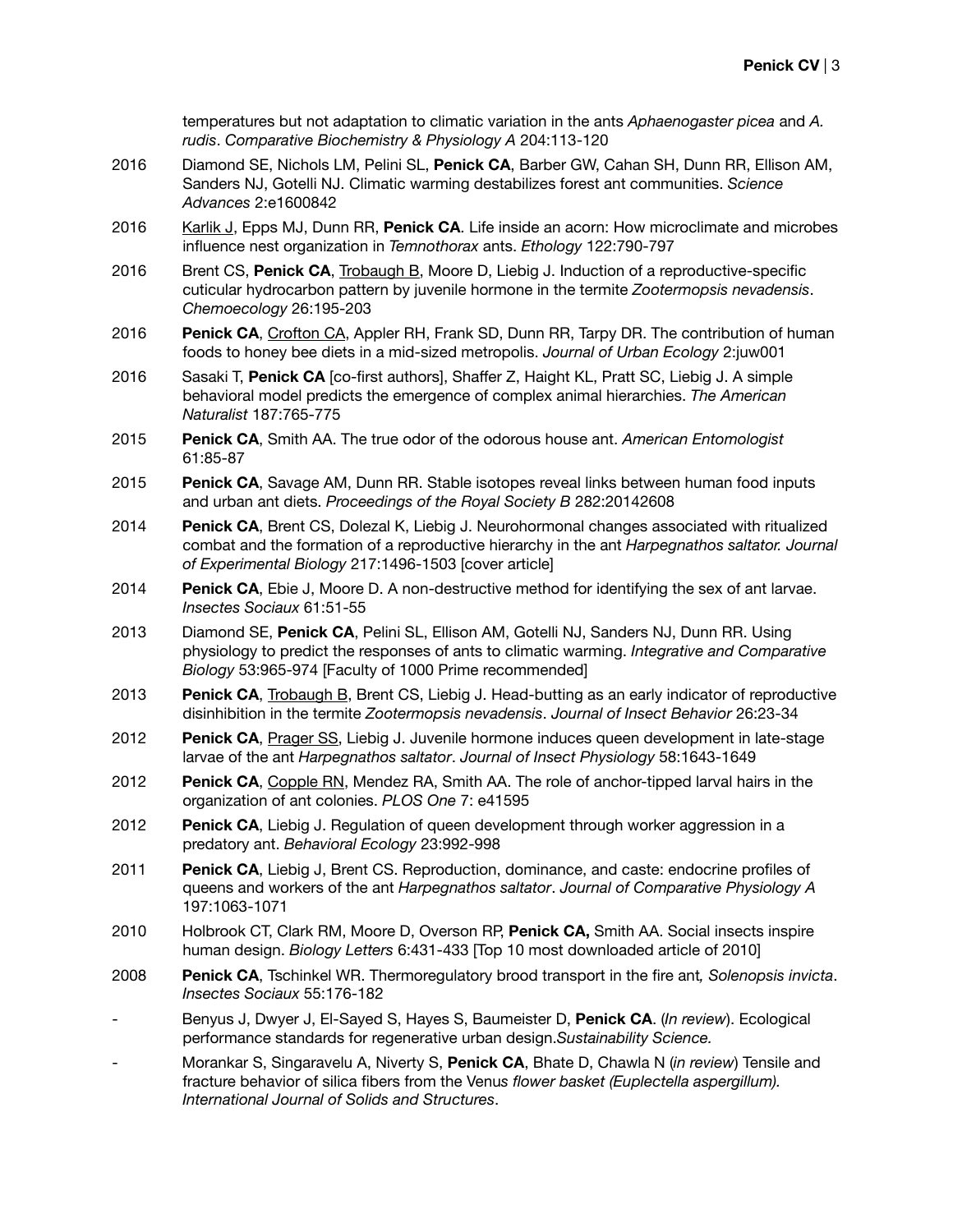temperatures but not adaptation to climatic variation in the ants *Aphaenogaster picea* and *A. rudis*. *Comparative Biochemistry & Physiology A* 204:113-120

- 2016 Diamond SE, Nichols LM, Pelini SL, **Penick CA**, Barber GW, Cahan SH, Dunn RR, Ellison AM, Sanders NJ, Gotelli NJ. Climatic warming destabilizes forest ant communities. *Science Advances* 2:e1600842
- 2016 Karlik J, Epps MJ, Dunn RR, **Penick CA**. Life inside an acorn: How microclimate and microbes influence nest organization in *Temnothorax* ants. *Ethology* 122:790-797
- 2016 Brent CS, **Penick CA**, Trobaugh B, Moore D, Liebig J. Induction of a reproductive-specific cuticular hydrocarbon pattern by juvenile hormone in the termite *Zootermopsis nevadensis*. *Chemoecology* 26:195-203
- 2016 **Penick CA**, Crofton CA, Appler RH, Frank SD, Dunn RR, Tarpy DR. The contribution of human foods to honey bee diets in a mid-sized metropolis. *Journal of Urban Ecology* 2:juw001
- 2016 Sasaki T, **Penick CA** [co-first authors], Shaffer Z, Haight KL, Pratt SC, Liebig J. A simple behavioral model predicts the emergence of complex animal hierarchies. *The American Naturalist* 187:765-775
- 2015 **Penick CA**, Smith AA. The true odor of the odorous house ant. *American Entomologist*  61:85-87
- 2015 **Penick CA**, Savage AM, Dunn RR. Stable isotopes reveal links between human food inputs and urban ant diets. *Proceedings of the Royal Society B* 282:20142608
- 2014 **Penick CA**, Brent CS, Dolezal K, Liebig J. Neurohormonal changes associated with ritualized combat and the formation of a reproductive hierarchy in the ant *Harpegnathos saltator. Journal of Experimental Biology* 217:1496-1503 [cover article]
- 2014 **Penick CA**, Ebie J, Moore D. A non-destructive method for identifying the sex of ant larvae. *Insectes Sociaux* 61:51-55
- 2013 Diamond SE, **Penick CA**, Pelini SL, Ellison AM, Gotelli NJ, Sanders NJ, Dunn RR. Using physiology to predict the responses of ants to climatic warming. *Integrative and Comparative Biology* 53:965-974 [Faculty of 1000 Prime recommended]
- 2013 **Penick CA**, Trobaugh B, Brent CS, Liebig J. Head-butting as an early indicator of reproductive disinhibition in the termite *Zootermopsis nevadensis*. *Journal of Insect Behavior* 26:23-34
- 2012 **Penick CA**, Prager SS, Liebig J. Juvenile hormone induces queen development in late-stage larvae of the ant *Harpegnathos saltator*. *Journal of Insect Physiology* 58:1643-1649
- 2012 **Penick CA**, Copple RN, Mendez RA, Smith AA. The role of anchor-tipped larval hairs in the organization of ant colonies. *PLOS One* 7: e41595
- 2012 **Penick CA**, Liebig J. Regulation of queen development through worker aggression in a predatory ant. *Behavioral Ecology* 23:992-998
- 2011 **Penick CA**, Liebig J, Brent CS. Reproduction, dominance, and caste: endocrine profiles of queens and workers of the ant *Harpegnathos saltator*. *Journal of Comparative Physiology A* 197:1063-1071
- 2010 Holbrook CT, Clark RM, Moore D, Overson RP, **Penick CA,** Smith AA. Social insects inspire human design. *Biology Letters* 6:431-433 [Top 10 most downloaded article of 2010]
- 2008 **Penick CA**, Tschinkel WR. Thermoregulatory brood transport in the fire ant*, Solenopsis invicta*. *Insectes Sociaux* 55:176-182
- Benyus J, Dwyer J, El-Sayed S, Hayes S, Baumeister D, **Penick CA**. (*In review*). Ecological performance standards for regenerative urban design.*Sustainability Science.*
- Morankar S, Singaravelu A, Niverty S, **Penick CA**, Bhate D, Chawla N (*in review*) Tensile and fracture behavior of silica fibers from the Venu*s flower basket (Euplectella aspergillum). International Journal of Solids and Structures*.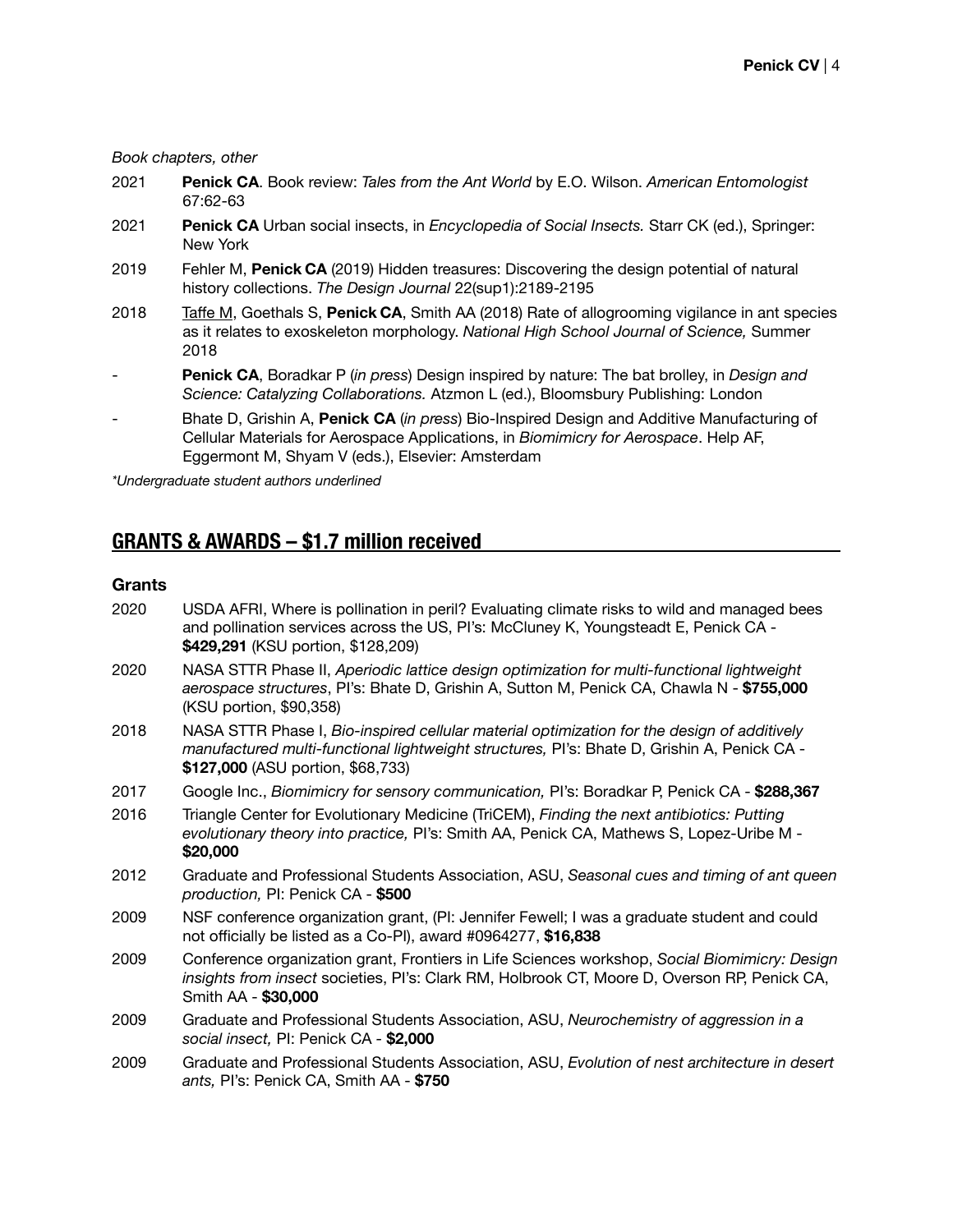#### *Book chapters, other*

- 2021 **Penick CA**. Book review: *Tales from the Ant World* by E.O. Wilson. *American Entomologist*  67:62-63
- 2021 **Penick CA** Urban social insects, in *Encyclopedia of Social Insects.* Starr CK (ed.), Springer: New York
- 2019 Fehler M, **Penick CA** (2019) Hidden treasures: Discovering the design potential of natural history collections. *The Design Journal* 22(sup1):2189-2195
- 2018 Taffe M, Goethals S, **Penick CA**, Smith AA (2018) Rate of allogrooming vigilance in ant species as it relates to exoskeleton morphology. *National High School Journal of Science,* Summer 2018
- Penick CA, Boradkar P (in press) Design inspired by nature: The bat brolley, in *Design and Science: Catalyzing Collaborations.* Atzmon L (ed.), Bloomsbury Publishing: London
- Bhate D, Grishin A, **Penick CA** (*in press*) Bio-Inspired Design and Additive Manufacturing of Cellular Materials for Aerospace Applications, in *Biomimicry for Aerospace*. Help AF, Eggermont M, Shyam V (eds.), Elsevier: Amsterdam

*\*Undergraduate student authors underlined*

# **GRANTS & AWARDS – \$1.7 million received**

#### **Grants**

| 2020 | USDA AFRI, Where is pollination in peril? Evaluating climate risks to wild and managed bees<br>and pollination services across the US, PI's: McCluney K, Youngsteadt E, Penick CA -<br>\$429,291 (KSU portion, \$128,209)       |
|------|---------------------------------------------------------------------------------------------------------------------------------------------------------------------------------------------------------------------------------|
| 2020 | NASA STTR Phase II, Aperiodic lattice design optimization for multi-functional lightweight<br>aerospace structures, Pl's: Bhate D, Grishin A, Sutton M, Penick CA, Chawla N - \$755,000<br>(KSU portion, \$90,358)              |
| 2018 | NASA STTR Phase I, Bio-inspired cellular material optimization for the design of additively<br>manufactured multi-functional lightweight structures, Pl's: Bhate D, Grishin A, Penick CA -<br>\$127,000 (ASU portion, \$68,733) |
| 2017 | Google Inc., Biomimicry for sensory communication, PI's: Boradkar P, Penick CA - \$288,367                                                                                                                                      |
| 2016 | Triangle Center for Evolutionary Medicine (TriCEM), Finding the next antibiotics: Putting<br>evolutionary theory into practice, PI's: Smith AA, Penick CA, Mathews S, Lopez-Uribe M -<br>\$20,000                               |
| 2012 | Graduate and Professional Students Association, ASU, Seasonal cues and timing of ant queen<br>production, PI: Penick CA - \$500                                                                                                 |
| 2009 | NSF conference organization grant, (PI: Jennifer Fewell; I was a graduate student and could<br>not officially be listed as a Co-PI), award #0964277, \$16,838                                                                   |
| 2009 | Conference organization grant, Frontiers in Life Sciences workshop, Social Biomimicry: Design<br>insights from insect societies, PI's: Clark RM, Holbrook CT, Moore D, Overson RP, Penick CA,<br>Smith AA - \$30,000            |
| 2009 | Graduate and Professional Students Association, ASU, Neurochemistry of aggression in a<br>social insect, PI: Penick CA - \$2,000                                                                                                |
| 2009 | Graduate and Professional Students Association, ASU, Evolution of nest architecture in desert<br>ants, Pl's: Penick CA, Smith AA - \$750                                                                                        |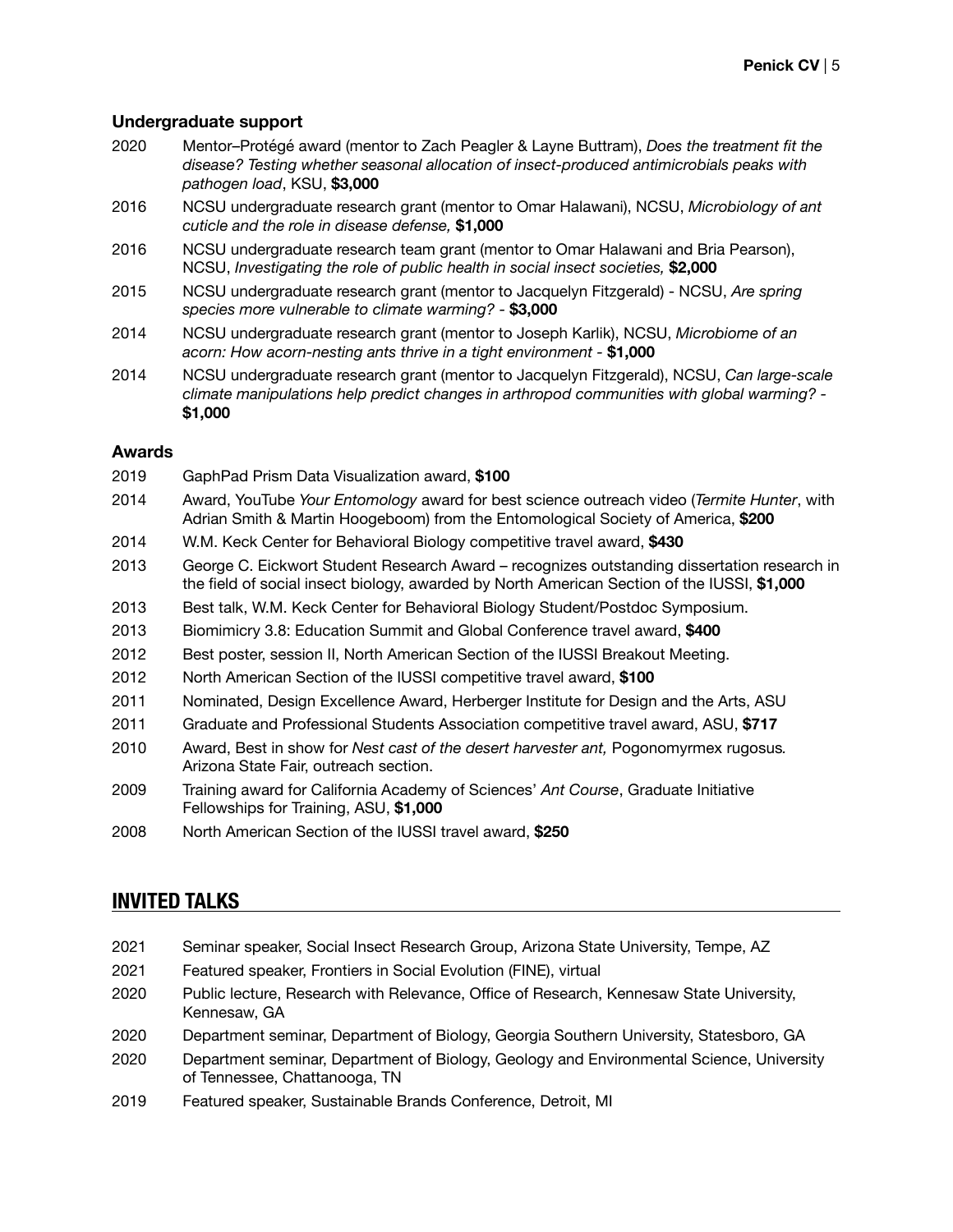#### **Undergraduate support**

- 2020 Mentor–Protégé award (mentor to Zach Peagler & Layne Buttram), *Does the treatment fit the disease? Testing whether seasonal allocation of insect-produced antimicrobials peaks with pathogen load*, KSU, **\$3,000**
- 2016 NCSU undergraduate research grant (mentor to Omar Halawani), NCSU, *Microbiology of ant cuticle and the role in disease defense,* **\$1,000**
- 2016 NCSU undergraduate research team grant (mentor to Omar Halawani and Bria Pearson), NCSU, *Investigating the role of public health in social insect societies,* **\$2,000**
- 2015 NCSU undergraduate research grant (mentor to Jacquelyn Fitzgerald) NCSU, *Are spring species more vulnerable to climate warming? -* **\$3,000**
- 2014 NCSU undergraduate research grant (mentor to Joseph Karlik), NCSU, *Microbiome of an acorn: How acorn-nesting ants thrive in a tight environment -* **\$1,000**
- 2014 NCSU undergraduate research grant (mentor to Jacquelyn Fitzgerald), NCSU, *Can large-scale climate manipulations help predict changes in arthropod communities with global warming? -*  **\$1,000**

#### **Awards**

- 2019 GaphPad Prism Data Visualization award, **\$100**  2014 Award, YouTube *Your Entomology* award for best science outreach video (*Termite Hunter*, with Adrian Smith & Martin Hoogeboom) from the Entomological Society of America, **\$200** 2014 W.M. Keck Center for Behavioral Biology competitive travel award, **\$430** 2013 George C. Eickwort Student Research Award – recognizes outstanding dissertation research in the field of social insect biology, awarded by North American Section of the IUSSI, **\$1,000** 2013 Best talk, W.M. Keck Center for Behavioral Biology Student/Postdoc Symposium. 2013 Biomimicry 3.8: Education Summit and Global Conference travel award, **\$400** 2012 Best poster, session II, North American Section of the IUSSI Breakout Meeting. 2012 North American Section of the IUSSI competitive travel award, **\$100** 2011 Nominated, Design Excellence Award, Herberger Institute for Design and the Arts, ASU 2011 Graduate and Professional Students Association competitive travel award, ASU, **\$717** 2010 Award, Best in show for *Nest cast of the desert harvester ant,* Pogonomyrmex rugosus*.* Arizona State Fair, outreach section.
- 2009 Training award for California Academy of Sciences' *Ant Course*, Graduate Initiative Fellowships for Training, ASU, **\$1,000**
- 2008 North American Section of the IUSSI travel award, **\$250**

# **INVITED TALKS**

- 2021 Seminar speaker, Social Insect Research Group, Arizona State University, Tempe, AZ
- 2021 Featured speaker, Frontiers in Social Evolution (FINE), virtual
- 2020 Public lecture, Research with Relevance, Office of Research, Kennesaw State University, Kennesaw, GA
- 2020 Department seminar, Department of Biology, Georgia Southern University, Statesboro, GA
- 2020 Department seminar, Department of Biology, Geology and Environmental Science, University of Tennessee, Chattanooga, TN
- 2019 Featured speaker, Sustainable Brands Conference, Detroit, MI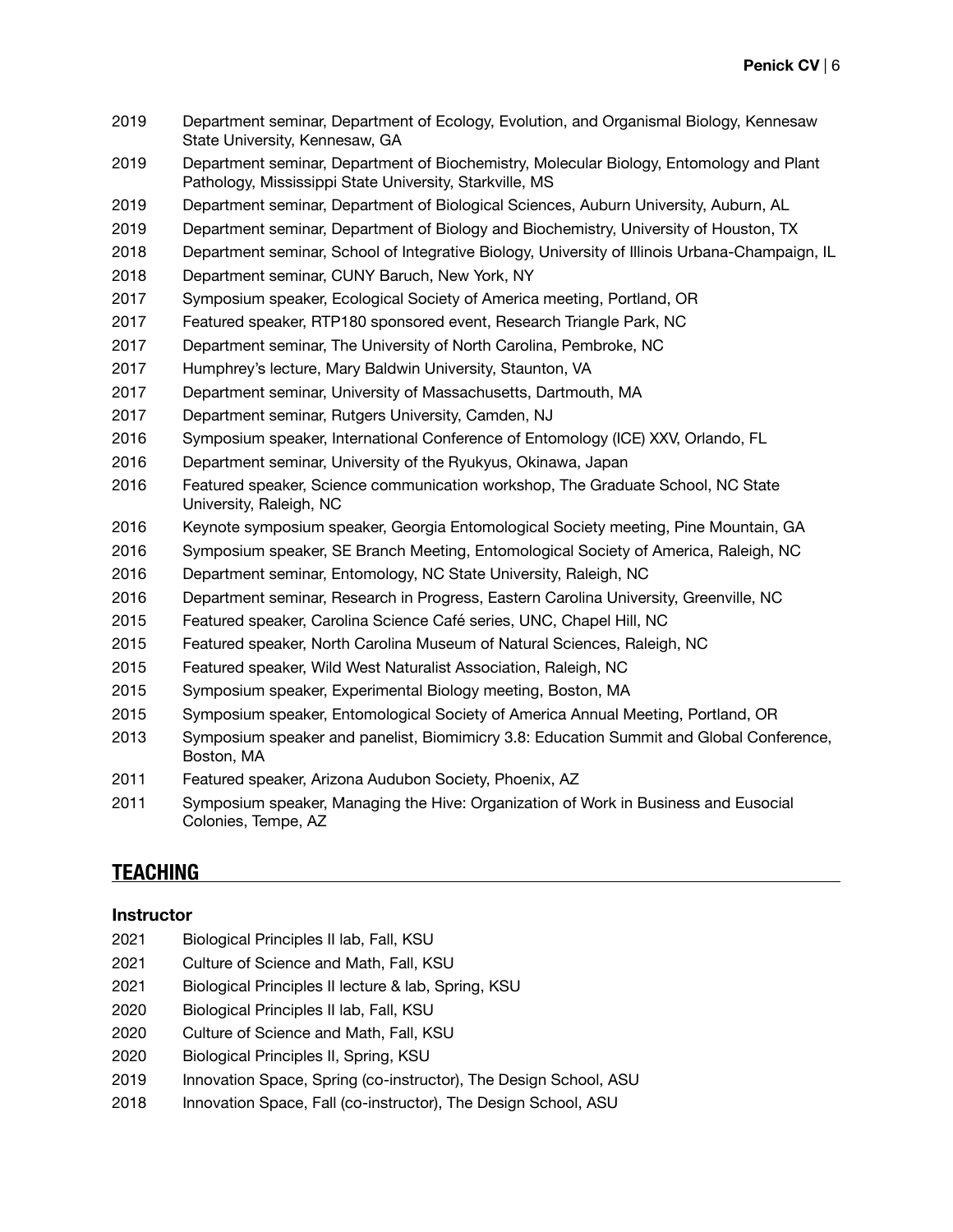- Department seminar, Department of Ecology, Evolution, and Organismal Biology, Kennesaw State University, Kennesaw, GA
- Department seminar, Department of Biochemistry, Molecular Biology, Entomology and Plant Pathology, Mississippi State University, Starkville, MS
- Department seminar, Department of Biological Sciences, Auburn University, Auburn, AL
- Department seminar, Department of Biology and Biochemistry, University of Houston, TX
- Department seminar, School of Integrative Biology, University of Illinois Urbana-Champaign, IL
- Department seminar, CUNY Baruch, New York, NY
- Symposium speaker, Ecological Society of America meeting, Portland, OR
- Featured speaker, RTP180 sponsored event, Research Triangle Park, NC
- Department seminar, The University of North Carolina, Pembroke, NC
- Humphrey's lecture, Mary Baldwin University, Staunton, VA
- Department seminar, University of Massachusetts, Dartmouth, MA
- Department seminar, Rutgers University, Camden, NJ
- 2016 Symposium speaker, International Conference of Entomology (ICE) XXV, Orlando, FL
- Department seminar, University of the Ryukyus, Okinawa, Japan
- Featured speaker, Science communication workshop, The Graduate School, NC State University, Raleigh, NC
- Keynote symposium speaker, Georgia Entomological Society meeting, Pine Mountain, GA
- 2016 Symposium speaker, SE Branch Meeting, Entomological Society of America, Raleigh, NC
- Department seminar, Entomology, NC State University, Raleigh, NC
- Department seminar, Research in Progress, Eastern Carolina University, Greenville, NC
- Featured speaker, Carolina Science Café series, UNC, Chapel Hill, NC
- Featured speaker, North Carolina Museum of Natural Sciences, Raleigh, NC
- Featured speaker, Wild West Naturalist Association, Raleigh, NC
- Symposium speaker, Experimental Biology meeting, Boston, MA
- Symposium speaker, Entomological Society of America Annual Meeting, Portland, OR
- Symposium speaker and panelist, Biomimicry 3.8: Education Summit and Global Conference, Boston, MA
- Featured speaker, Arizona Audubon Society, Phoenix, AZ
- Symposium speaker, Managing the Hive: Organization of Work in Business and Eusocial Colonies, Tempe, AZ

# **TEACHING**

#### **Instructor**

- Biological Principles II lab, Fall, KSU
- Culture of Science and Math, Fall, KSU
- Biological Principles II lecture & lab, Spring, KSU
- Biological Principles II lab, Fall, KSU
- Culture of Science and Math, Fall, KSU
- Biological Principles II, Spring, KSU
- 2019 Innovation Space, Spring (co-instructor), The Design School, ASU
- 2018 Innovation Space, Fall (co-instructor), The Design School, ASU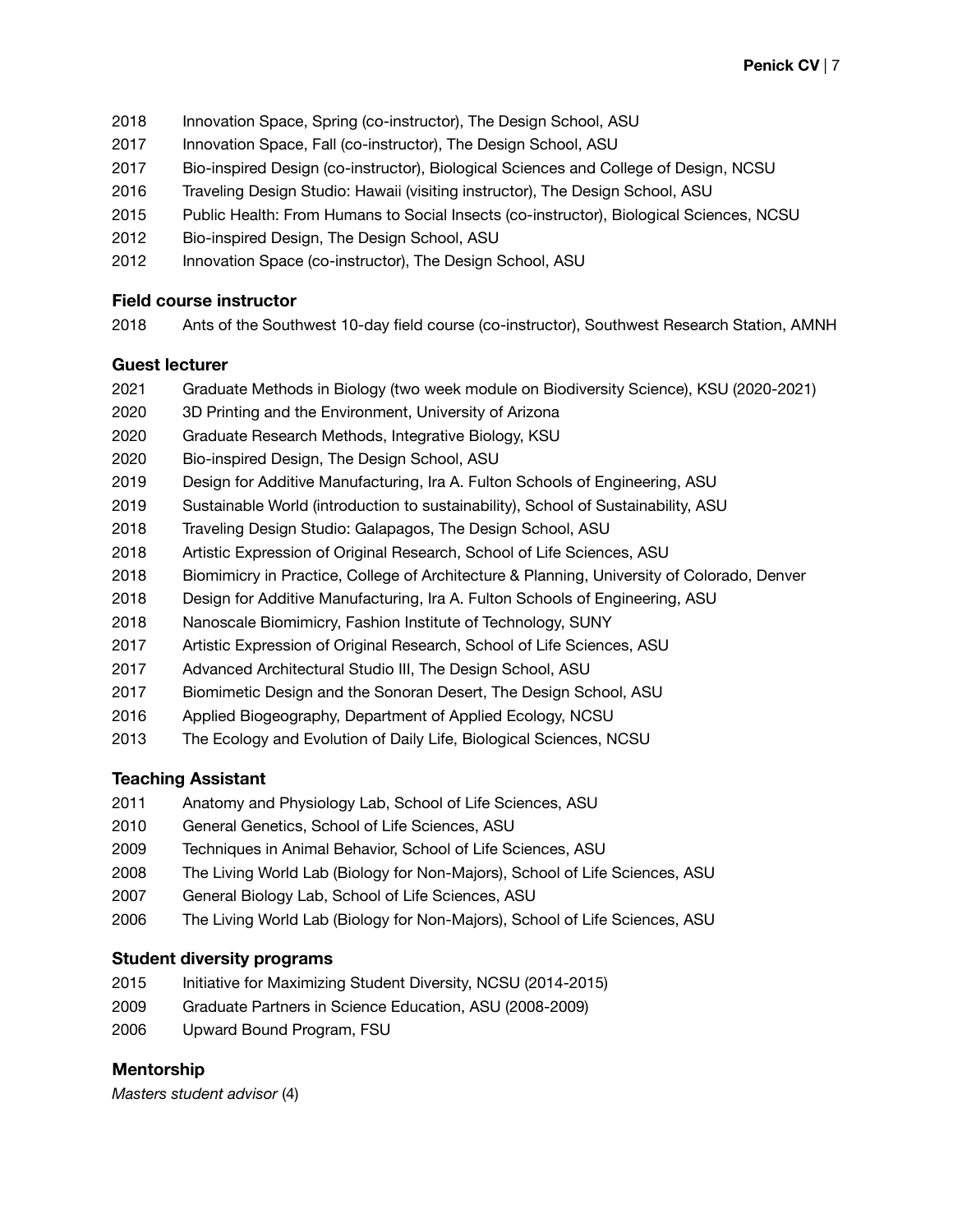- Innovation Space, Spring (co-instructor), The Design School, ASU
- 2017 Innovation Space, Fall (co-instructor), The Design School, ASU
- Bio-inspired Design (co-instructor), Biological Sciences and College of Design, NCSU
- Traveling Design Studio: Hawaii (visiting instructor), The Design School, ASU
- Public Health: From Humans to Social Insects (co-instructor), Biological Sciences, NCSU
- Bio-inspired Design, The Design School, ASU
- Innovation Space (co-instructor), The Design School, ASU

### **Field course instructor**

Ants of the Southwest 10-day field course (co-instructor), Southwest Research Station, AMNH

### **Guest lecturer**

- Graduate Methods in Biology (two week module on Biodiversity Science), KSU (2020-2021)
- 3D Printing and the Environment, University of Arizona
- Graduate Research Methods, Integrative Biology, KSU
- Bio-inspired Design, The Design School, ASU
- Design for Additive Manufacturing, Ira A. Fulton Schools of Engineering, ASU
- Sustainable World (introduction to sustainability), School of Sustainability, ASU
- Traveling Design Studio: Galapagos, The Design School, ASU
- Artistic Expression of Original Research, School of Life Sciences, ASU
- Biomimicry in Practice, College of Architecture & Planning, University of Colorado, Denver
- Design for Additive Manufacturing, Ira A. Fulton Schools of Engineering, ASU
- Nanoscale Biomimicry, Fashion Institute of Technology, SUNY
- Artistic Expression of Original Research, School of Life Sciences, ASU
- Advanced Architectural Studio III, The Design School, ASU
- Biomimetic Design and the Sonoran Desert, The Design School, ASU
- Applied Biogeography, Department of Applied Ecology, NCSU
- The Ecology and Evolution of Daily Life, Biological Sciences, NCSU

# **Teaching Assistant**

- Anatomy and Physiology Lab, School of Life Sciences, ASU
- General Genetics, School of Life Sciences, ASU
- Techniques in Animal Behavior, School of Life Sciences, ASU
- The Living World Lab (Biology for Non-Majors), School of Life Sciences, ASU
- General Biology Lab, School of Life Sciences, ASU
- The Living World Lab (Biology for Non-Majors), School of Life Sciences, ASU

# **Student diversity programs**

- Initiative for Maximizing Student Diversity, NCSU (2014-2015)
- Graduate Partners in Science Education, ASU (2008-2009)
- Upward Bound Program, FSU

# **Mentorship**

*Masters student advisor* (4)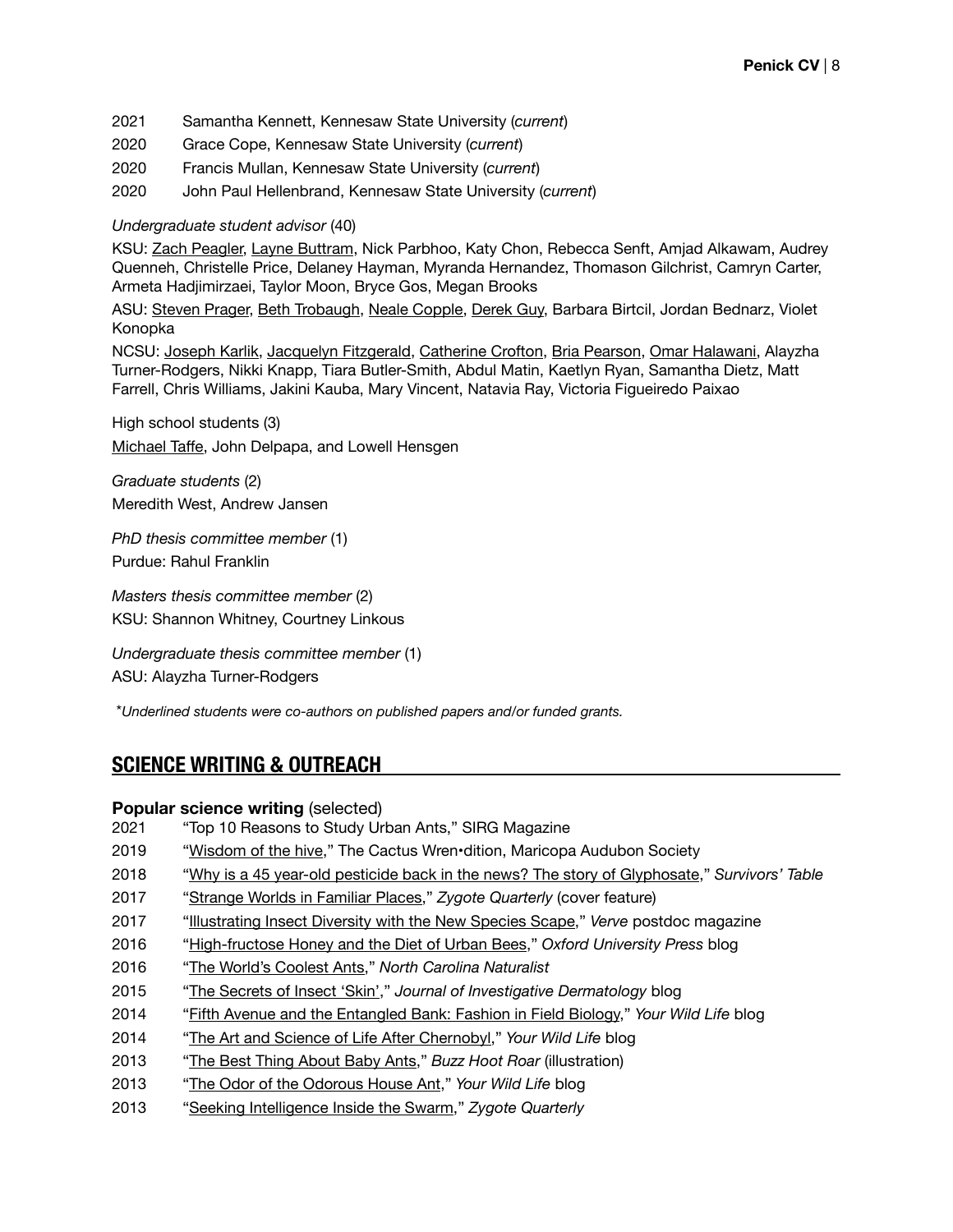- 2021 Samantha Kennett, Kennesaw State University (*current*)
- 2020 Grace Cope, Kennesaw State University (*current*)
- 2020 Francis Mullan, Kennesaw State University (*current*)
- 2020 John Paul Hellenbrand, Kennesaw State University (*current*)

#### *Undergraduate student advisor* (40)

KSU: Zach Peagler, Layne Buttram, Nick Parbhoo, Katy Chon, Rebecca Senft, Amjad Alkawam, Audrey Quenneh, Christelle Price, Delaney Hayman, Myranda Hernandez, Thomason Gilchrist, Camryn Carter, Armeta Hadjimirzaei, Taylor Moon, Bryce Gos, Megan Brooks

ASU: Steven Prager, Beth Trobaugh, Neale Copple, Derek Guy, Barbara Birtcil, Jordan Bednarz, Violet Konopka

NCSU: Joseph Karlik, Jacquelyn Fitzgerald, Catherine Crofton, Bria Pearson, Omar Halawani, Alayzha Turner-Rodgers, Nikki Knapp, Tiara Butler-Smith, Abdul Matin, Kaetlyn Ryan, Samantha Dietz, Matt Farrell, Chris Williams, Jakini Kauba, Mary Vincent, Natavia Ray, Victoria Figueiredo Paixao

High school students (3) Michael Taffe, John Delpapa, and Lowell Hensgen

*Graduate students* (2) Meredith West, Andrew Jansen

*PhD thesis committee member* (1) Purdue: Rahul Franklin

*Masters thesis committee member* (2) KSU: Shannon Whitney, Courtney Linkous

*Undergraduate thesis committee member* (1) ASU: Alayzha Turner-Rodgers

\**Underlined students were co-authors on published papers and/or funded grants.*

# **SCIENCE WRITING & OUTREACH**

#### **Popular science writing (selected)**

- 2021 "Top 10 Reasons to Study Urban Ants," SIRG Magazine
- 2019 "[Wisdom of the hive,](https://static1.squarespace.com/static/5b899269aa49a146e37bca78/t/5cf9d4771296c70001d00000/1559876915042/Wrendition+Summer+2019.pdf)" The Cactus Wren•dition, Maricopa Audubon Society
- 2018 "[Why is a 45 year-old pesticide back in the news? The story of Glyphosate](https://survivorstable.com/2018/06/05/why-is-a-4-decade-old-pesticide-back-in-the-news-the-story-of-glyphosate/)," *Survivors' Table*
- 2017 "[Strange Worlds in Familiar Places](https://zqjournal.org/editions/zq21.html)," *Zygote Quarterly* (cover feature)
- 2017 "[Illustrating Insect Diversity with the New Species Scape,](https://grad.ncsu.edu/wp-content/uploads/2017/02/Verve-Issue-2.pdf)" *Verve* postdoc magazine
- 2016 "[High-fructose Honey and the Diet of Urban Bees](https://blog.oup.com/2016/10/high-fructose-honey-urban-bees/)," *Oxford University Press* blog
- 2016 "[The World's Coolest Ants](http://naturalsciences.org/visit/museum-store/museum-publications)," *North Carolina Naturalist*
- 2015 "[The Secrets of Insect 'Skin'](https://jidjottings.wordpress.com/tag/exoskeleton/)," *Journal of Investigative Dermatology* blog
- 2014 "[Fifth Avenue and the Entangled Bank: Fashion in Field Biology,](http://yourwildlife.org/2014/03/fifth-avenue-and-the-entangled-bank-fashion-in-field-biology/)" *Your Wild Life* blog
- 2014 "[The Art and Science of Life After Chernobyl,](http://yourwildlife.org/2014/01/the-art-and-science-of-life-after-chernobyl/)" *Your Wild Life* blog
- 2013 "[The Best Thing About Baby Ants,](http://buzzhootroar.com/tag/ant-hairs/)" *Buzz Hoot Roar* (illustration)
- 2013 "[The Odor of the Odorous House Ant](http://yourwildlife.org/2013/09/the-odor-of-the-odorous-house-ant/)," *Your Wild Life* blog
- 2013 "[Seeking Intelligence Inside the Swarm](https://zqjournal.org/editions/zq04.html)," *Zygote Quarterly*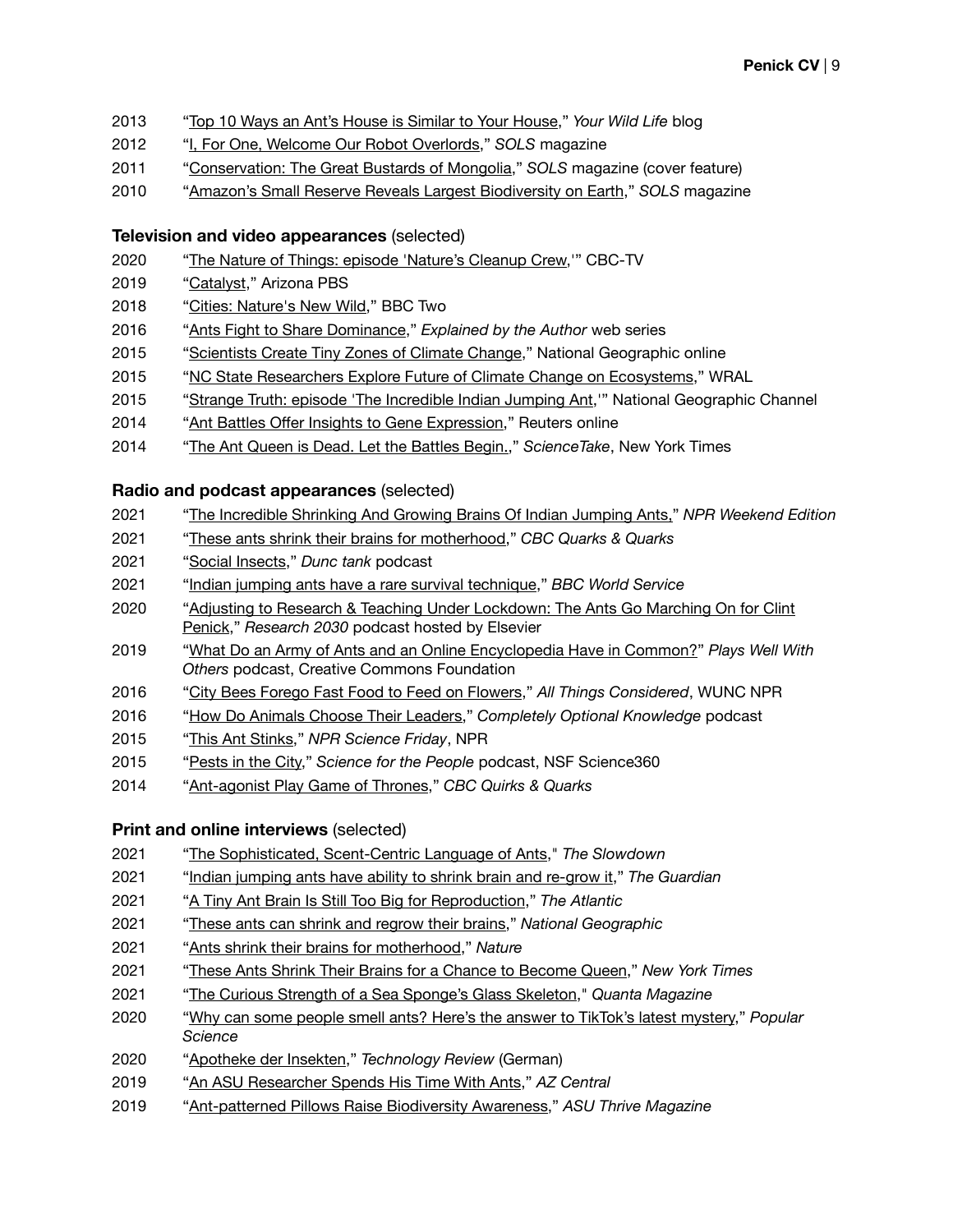- "[Top 10 Ways an Ant's House is Similar to Your House,](http://yourwildlife.org/2013/05/top-10-ways-an-ants-house-is-similar-to-your-house/)" *Your Wild Life* blog
- "[I, For One, Welcome Our Robot Overlords](http://www.magcloud.com/browse/issue/558531)," *SOLS* magazine
- "[Conservation: The Great Bustards of Mongolia,](https://sols.asu.edu/sites/default/files/magazine/files/sols_vol7_no1_2011.pdf)" *SOLS* magazine (cover feature)
- "[Amazon's Small Reserve Reveals Largest Biodiversity on Earth,](https://sols.asu.edu/sites/default/files/magazine/files/sols_vol6_no1_2010.pdf)" *SOLS* magazine

### **Television and video appearances** (selected)

- "[The Nature of Things: episode 'Nature's Cleanup Crew](https://www.cbc.ca/natureofthings/episodes/natures-cleanup-crew),'" CBC-TV
- "[Catalyst](https://azpbs.org/catalyst/2019/02/catalyst-ant-antibiotics/)," Arizona PBS
- "[Cities: Nature's New Wild](https://www.bbc.co.uk/programmes/b0bx719h?fbclid=IwAR1X2_jAPJhW_NqFPXE13l595OkTps-IdcxibVfiSQZS0buRoBTe-Fkd4YA)," BBC Two
- "[Ants Fight to Share Dominance,](https://www.youtube.com/watch?v=ddqMKcO6ovI&t=4s)" *Explained by the Author* web series
- "[Scientists Create Tiny Zones of Climate Change](http://video.nationalgeographic.com/video/news/150727-news-warming-chambers-vin)," National Geographic online
- 2015 "[NC State Researchers Explore Future of Climate Change on Ecosystems,](http://www.wral.com/nc-state-researchers-explore-future-of-climate-change-on-ecosystems/14714850/)" WRAL
- 2015 "[Strange Truth: episode 'The Incredible Indian Jumping Ant](https://www.youtube.com/watch?v=BR-dP9jA9ww),'" National Geographic Channel
- "Ant Battles Off[er Insights to Gene Expression,](https://www.reuters.com/video/2014/06/20/ant-battles-offer-insights-to-gene-expre?videoId=316491389)" Reuters online
- "[The Ant Queen is Dead. Let the Battles Begin.,](https://www.nytimes.com/2014/05/27/science/the-ant-queen-is-dead-let-the-battles-begin.html?_r=0)" *ScienceTake*, New York Times

### **Radio and podcast appearances** (selected)

- "[The Incredible Shrinking And Growing Brains Of Indian Jumping Ants,](https://www.npr.org/2021/04/18/988262580/the-incredible-shrinking-and-growing-brains-of-indian-jumping-ants)" *NPR Weekend Edition*
- "[These ants shrink their brains for motherhood](https://www.cbc.ca/radio/quirks/apr-17-mother-ants-shrinking-brains-boreal-forest-tree-shifts-finding-a-new-blue-and-more-1.5987696/these-ants-shrink-their-brains-for-motherhood-but-can-also-grow-them-back-1.5987713)," *CBC Quarks & Quarks*
- "[Social Insects,](https://dunctank.podbean.com/e/clint-penick-social-insects/)" *Dunc tank* podcast
- "[Indian jumping ants have a rare survival technique,](https://www.bbc.co.uk/programmes/p09dql0b)" *BBC World Service*
- ["Adjusting to Research & Teaching Under Lockdown: The Ants Go Marching On for Clint](https://www.buzzsprout.com/576232/3736358-adjusting-to-research-teaching-under-lockdown-the-ants-go-marching-on-for-clint-penick)  [Penick,](https://www.buzzsprout.com/576232/3736358-adjusting-to-research-teaching-under-lockdown-the-ants-go-marching-on-for-clint-penick)" *Research 2030* podcast hosted by Elsevier
- "[What Do an Army of Ants and an Online Encyclopedia Have in Common?](https://podcast.creativecommons.org/2019/03/episode-2-what-do-an-army-of-ants-and-an-online-encyclopedia-have-in-common/)" *Plays Well With Others* podcast, Creative Commons Foundation
- "[City Bees Forego Fast Food to Feed on Flowers,](https://www.wunc.org/post/city-bees-forego-fast-food-feed-flowers)" *All Things Considered*, WUNC NPR
- "[How Do Animals Choose Their Leaders](https://podtail.com/en/podcast/completely-optional-knowledge/how-do-animals-choose-their-leaders/)," *Completely Optional Knowledge* podcast
- "[This Ant Stinks](https://www.sciencefriday.com/segments/this-ant-stinks/)," *NPR Science Friday*, NPR
- "[Pests in the City,](http://www.scienceforthepeople.ca/episodes/pests-in-the-city)" *Science for the People* podcast, NSF Science360
- "[Ant-agonist Play Game of Thrones](http://www.cbc.ca/radio/quirks/quirks-quarks-for-may-17-2014-1.2842872/ant-agonists-play-game-of-thrones-1.2842873)," *CBC Quirks & Quarks*

# **Print and online interviews** (selected)

- "[The Sophisticated, Scent-Centric Language of Ants,](https://www.slowdown.tv/smell/the-sophisticated-scent-centric-language-of-ants)" *The Slowdown*
- "[Indian jumping ants have ability to shrink brain and re-grow it,](https://www.theguardian.com/environment/2021/apr/14/indian-jumping-ants-have-ability-to-shrink-brain-and-re-grow-it-study)" *The Guardian*
- "[A Tiny Ant Brain Is Still Too Big for Reproduction,](https://www.theatlantic.com/science/archive/2021/04/ant-brain-reversible-shrinking/618578/)" *The Atlantic*
- "[These ants can shrink and regrow their brains,](https://www.nationalgeographic.com/animals/article/indian-jumping-ants-shrink-and-regrow-brains)" *National Geographic*
- "[Ants shrink their brains for motherhood](https://www.nature.com/articles/d41586-021-00992-2)," *Nature*
- "[These Ants Shrink Their Brains for a Chance to Become Queen,](https://www.nytimes.com/2021/04/13/science/ants-brains-queen.html)" *New York Times*
- "[The Curious Strength of a Sea Sponge's Glass Skeleton,](https://www.quantamagazine.org/the-curious-strength-of-a-sea-sponges-glass-skeleton-20210111/?fbclid=IwAR1CN1TGJVUwHSAf8zQqQMWxnIHlEmd3Tf8fl1YSwV0JHVOheriptBcp7Jo)" *Quanta Magazine*
- "[Why can some people smell ants? Here's the answer to TikTok's latest mystery,](https://www.popsci.com/story/science/ant-smell-pheromones/)" *Popular Science*
- "[Apotheke der Insekten](https://www.heise.de/select/tr/2020/8/2017414582187250571)," *Technology Review* (German)
- "[An ASU Researcher Spends His Time With Ants,](https://www.azcentral.com/story/news/local/karinabland/2019/04/16/we-could-learn-lot-ants-arizona-state-university-karina-bland-climate-change/3487389002/?fbclid=IwAR3UpyCB1CY10dIlJeLM1JhMVu0GJW_j9t4RJ3lxCFIoc9CQvi2S-WJtrm0)" *AZ Central*
- "[Ant-patterned Pillows Raise Biodiversity Awareness](https://asunow.asu.edu/thrive-magazine)," *ASU Thrive Magazine*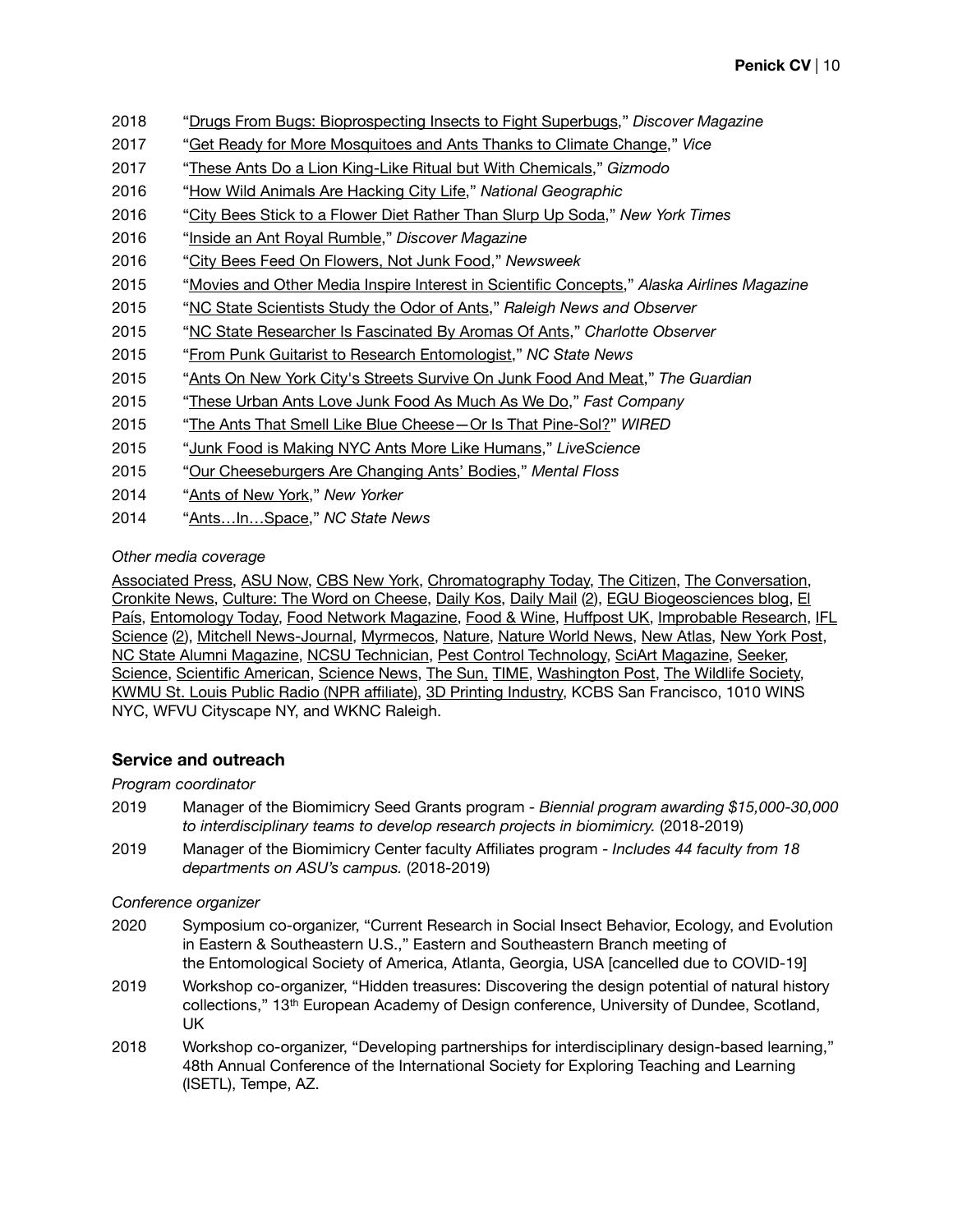- 2018 "[Drugs From Bugs: Bioprospecting Insects to Fight Superbugs](http://blogs.discovermagazine.com/crux/2018/04/13/drugs-insects-antibiotics-superbugs/)," *Discover Magazine*
- 2017 "[Get Ready for More Mosquitoes and Ants Thanks to Climate Change,](https://www.vice.com/en_us/article/mg4n54/get-ready-for-more-mosquitoes-and-ants-thanks-to-climate-change)" *Vice*
- 2017 "[These Ants Do a Lion King-Like Ritual but With Chemicals,](https://gizmodo.com/these-ants-do-a-lion-king-like-ritual-but-with-chemical-1794893248)" *Gizmodo*
- 2016 "[How Wild Animals Are Hacking City Life](https://news.nationalgeographic.com/2016/04/160418-animals-urban-cities-wildlife-science-coyotes/)," *National Geographic*
- 2016 "[City Bees Stick to a Flower Diet Rather Than Slurp Up Soda,](https://www.nytimes.com/2016/05/21/science/urban-bees-diet-flowers-soda.html)" *New York Times*
- 2016 "[Inside an Ant Royal Rumble](http://blogs.discovermagazine.com/crux/2016/05/27/inside-an-ant-royal-rumble/%22%20%5Cl%20%22.WlltTCOZNPN)," *Discover Magazine*
- 2016 "[City Bees Feed On Flowers, Not Junk Food](http://www.newsweek.com/city-bees-feed-flowers-not-junk-food-461600)," *Newsweek*
- 2015 "[Movies and Other Media Inspire Interest in Scientific Concepts,](http://www.paradigmcg.com/digitaleditions/hem-1115/files/43.html)" *Alaska Airlines Magazine*
- 2015 "[NC State Scientists Study the Odor of Ants](http://www.newsobserver.com/news/technology/article48784515.html)," *Raleigh News and Observer*
- 2015 "[NC State Researcher Is Fascinated By Aromas Of Ants](http://www.charlotteobserver.com/news/science-technology/article48783595.html)," *Charlotte Observer*
- 2015 "[From Punk Guitarist to Research Entomologist,](https://news.ncsu.edu/2015/04/punk-entomology/)" *NC State News*
- 2015 "[Ants On New York City's Streets Survive On Junk Food And Meat,](https://www.theguardian.com/environment/2015/apr/02/ants-new-york-city-streets-eat-human-food)" *The Guardian*
- 2015 "[These Urban Ants Love Junk Food As Much As We Do](https://www.fastcompany.com/3045016/these-urban-ants-love-junk-food-as-much-as-we-do)," *Fast Company*
- 2015 "[The Ants That Smell Like Blue Cheese—Or Is That Pine-Sol?](https://www.wired.com/2015/06/ants-smell-like-blue-cheese-pine-sol/)" *WIRED*
- 2015 "[Junk Food is Making NYC Ants More Like Humans](https://www.livescience.com/50320-new-york-city-ant-diet.html)," *LiveScience*
- 2015 "[Our Cheeseburgers Are Changing Ants' Bodies,](http://mentalfloss.com/article/62570/our-cheeseburgers-are-changing-ants-bodies)" *Mental Floss*
- 2014 "[Ants of New York,](https://www.newyorker.com/tech/elements/ants-new-york)" *New Yorker*
- 2014 "[Ants…In…Space](https://news.ncsu.edu/2014/02/ants-in-space-2/)," *NC State News*

### *Other media coverage*

[Associated Press](http://www.foxnews.com/health/2015/04/02/some-ants-have-more-taste-for-human-food-than-others-study-says.html), [ASU Now,](https://asunow.asu.edu/20181206-creativity-ant-patterned-pillows-cushion-research-raise-awareness-insects-and-biodiversity?fbclid=IwAR1VmXLA5sHRwK5iFpK3MICGj2K3uXPSstwEchHLLvWPgaXVwcDhvM1e5gw) [CBS New York](http://newyork.cbslocal.com/tag/clint-penick/), [Chromatography Today](https://www.chromatographytoday.com/news/gc-mdgc/32/breaking-news/meet-the-ant-that-smells-like-blue-cheese/35178), [The Citizen,](https://citizen.co.za/news/news-world/1809497/science-biology-zoology-ants-medicine/) [The Conversation,](https://theconversation.com/antibiotic-resistance-fight-could-get-a-little-help-from-ants-91412) [Cronkite News,](https://cronkitenews.azpbs.org/2019/07/15/ant-antibiotics-asu-research/) [Culture: The Word on Cheese,](https://culturecheesemag.com/cheese-bites/ants-that-smell-like-blue-cheese) [Daily Kos](https://www.dailykos.com/stories/2017/10/20/1708363/-The-Ants-That-Smell-Like-Blue-Cheese-Or-Is-That-Pine-Sol), [Daily Mail](http://www.dailymail.co.uk/sciencetech/article-4778932/Scientists-use-CRISPR-alter-social-behaviour-ants.html) [\(2\)](http://www.dailymail.co.uk/wires/pa/article-5360491/New-antibiotics-come-ants.html), [EGU Biogeosciences blog](https://blogs.egu.eu/divisions/bg/2016/06/02/coffee-break-biogeosciences-urban-bees-found-to-feed-on-flowers/), [El](https://elpais.com/elpais/2018/02/06/ciencia/1517944081_881249.html)  [País](https://elpais.com/elpais/2018/02/06/ciencia/1517944081_881249.html), [Entomology Today,](https://entomologytoday.org/2015/06/08/researchers-determine-the-true-odor-of-the-odorous-house-ant/) [Food Network Magazine,](http://www.foodnetwork.com/magazine/recipes/food-network-magazine--july-august-2015-recipe-index) [Food & Wine,](http://www.foodandwine.com/fwx/food/ants-love-junk-food-just-we-do-according-study) Huff[post UK](http://www.huffingtonpost.co.uk/entry/ants-could-provide-the-next-generation-of-antibiotics_uk_5a7afecee4b07af4e81fc304), [Improbable Research,](https://www.improbable.com/2015/06/08/the-true-odor-of-the-odorous-house-ant/) [IFL](http://www.iflscience.com/plants-and-animals/ants-use-a-princess-pheromone-to-identify-future-queens/)  [Science](http://www.iflscience.com/plants-and-animals/ants-use-a-princess-pheromone-to-identify-future-queens/) [\(2\)](http://www.iflscience.com/plants-and-animals/crushed-ants-smell-blue-cheese-and-pi-coladas-gone-bad/), [Mitchell News-Journal,](http://nl.newsbank.com/nl-search/we/Archives?p_product=MNJS&p_theme=mnjs&p_action=search&p_maxdocs=200&s_dispstring=ants%20space%20AND%20date(all)&p_field_advanced-0=&p_text_advanced-0=(ants%20space)&xcal_numdocs=20&p_perpage=10&p_sort=YMD_date:D&xcal_useweights=no) [Myrmecos](http://www.myrmecos.net/2012/07/26/velcro-hairs-allow-ants-to-hang-their-larvae/), [Nature,](https://www.nature.com/articles/d41586-017-02337-4) [Nature World News,](http://www.natureworldnews.com/articles/13868/20150405/urban-ants-prefer-junk-food-over-natural-sources.htm) [New Atlas](https://newatlas.com/ant-inspired-antibiotics/53283/), [New York Post,](https://nypost.com/2012/09/02/new-breed-of-ruffi-ant-found-in-manhattan/) [NC State Alumni Magazine](http://ncstatemagazine.gtxcel.com/ncstatemagazine/winter_2014/?pg=24&pm=2&u1=friend), [NCSU Technician,](http://www.technicianonline.com/image_a494cf72-9110-11e6-8ced-d324ea4f5c91.html) [Pest Control Technology,](http://www.pctonline.com/article/pct0515-urban-ant-research-junk-food/) [SciArt Magazine](https://www.sciartmagazine.com/collaboration-ants-art-and-science.html), [Seeker,](https://www.seeker.com/city-bees-skip-the-junk-food-prefer-flowers-1807917290.html) [Science,](http://www.sciencemag.org/news/2014/05/how-ants-become-warrior-queens) [Scientific American](https://www.scientificamerican.com/podcast/episode/ant-smells-like-blue-cheese-for-a-reason/), [Science News](https://www.sciencenews.org/sn-magazine/january-10-2015), [The Sun](https://www.thesun.co.uk/news/5531910/the-humble-ant-could-be-the-answer-to-the-antibiotic-crisis-as-scientists-find-they-may-be-used-to-create-new-drugs/)[,](http://www.apple.com) [TIME,](http://time.com/3766826/nyc-ants-human-food/) [Washington Post](https://www.washingtonpost.com/news/speaking-of-science/wp/2017/08/10/scientists-create-the-first-mutant-ants/?utm_term=.2c6a83f62080), [The Wildlife Society](http://wildlife.org/city-ants-love-fast-food/), [KWMU St. Louis Public Radio \(NPR a](http://news.stlpublicradio.org/post/roundup-caused-lab-ants-stop-digging-not-because-its-key-ingredient#stream/0)ffiliate), [3D Printing Industry,](https://3dprintingindustry.com/news/nasa-awards-127000-to-asu-and-padt-for-biomimicry-3d-printing-research-138396/) KCBS San Francisco, 1010 WINS NYC, WFVU Cityscape NY, and WKNC Raleigh.

# **Service and outreach**

#### *Program coordinator*

- 2019 Manager of the Biomimicry Seed Grants program *Biennial program awarding \$15,000-30,000 to interdisciplinary teams to develop research projects in biomimicry.* (2018-2019)
- 2019 Manager of the Biomimicry Center faculty Affiliates program *Includes 44 faculty from 18 departments on ASU's campus.* (2018-2019)

#### *Conference organizer*

- 2020 Symposium co-organizer, "Current Research in Social Insect Behavior, Ecology, and Evolution in Eastern & Southeastern U.S.," Eastern and Southeastern Branch meeting of the Entomological Society of America, Atlanta, Georgia, USA [cancelled due to COVID-19]
- 2019 Workshop co-organizer, "Hidden treasures: Discovering the design potential of natural history collections," 13th European Academy of Design conference, University of Dundee, Scotland, UK
- 2018 Workshop co-organizer, "Developing partnerships for interdisciplinary design-based learning," 48th Annual Conference of the International Society for Exploring Teaching and Learning (ISETL), Tempe, AZ.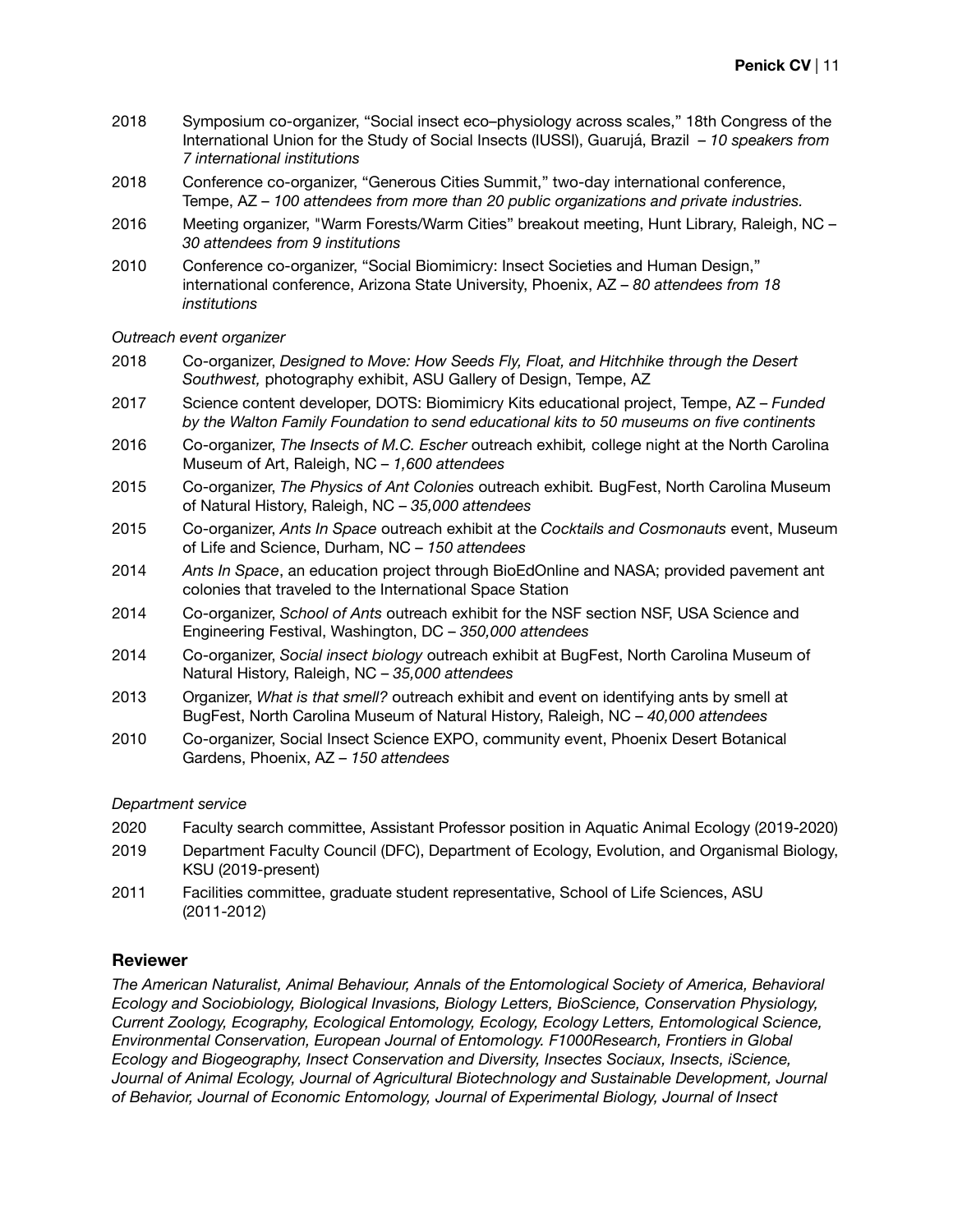- 2018 Symposium co-organizer, "Social insect eco–physiology across scales," 18th Congress of the International Union for the Study of Social Insects (IUSSI), Guarujá, Brazil – *10 speakers from 7 international institutions*
- 2018 Conference co-organizer, "Generous Cities Summit," two-day international conference, Tempe, AZ – *100 attendees from more than 20 public organizations and private industries.*
- 2016 Meeting organizer, "Warm Forests/Warm Cities" breakout meeting, Hunt Library, Raleigh, NC *30 attendees from 9 institutions*
- 2010 Conference co-organizer, "Social Biomimicry: Insect Societies and Human Design," international conference, Arizona State University, Phoenix, AZ – *80 attendees from 18 institutions*

*Outreach event organizer* 

- 2018 Co-organizer, *Designed to Move: How Seeds Fly, Float, and Hitchhike through the Desert Southwest,* photography exhibit, ASU Gallery of Design, Tempe, AZ
- 2017 Science content developer, DOTS: Biomimicry Kits educational project, Tempe, AZ *Funded by the Walton Family Foundation to send educational kits to 50 museums on five continents*
- 2016 Co-organizer, *The Insects of M.C. Escher* outreach exhibit*,* college night at the North Carolina Museum of Art, Raleigh, NC – *1,600 attendees*
- 2015 Co-organizer, *The Physics of Ant Colonies* outreach exhibit*.* BugFest, North Carolina Museum of Natural History, Raleigh, NC – *35,000 attendees*
- 2015 Co-organizer, *Ants In Space* outreach exhibit at the *Cocktails and Cosmonauts* event, Museum of Life and Science, Durham, NC – *150 attendees*
- 2014 *Ants In Space*, an education project through BioEdOnline and NASA; provided pavement ant colonies that traveled to the International Space Station
- 2014 Co-organizer, *School of Ants* outreach exhibit for the NSF section NSF, USA Science and Engineering Festival, Washington, DC – *350,000 attendees*
- 2014 Co-organizer, *Social insect biology* outreach exhibit at BugFest, North Carolina Museum of Natural History, Raleigh, NC – *35,000 attendees*
- 2013 Organizer, *What is that smell?* outreach exhibit and event on identifying ants by smell at BugFest, North Carolina Museum of Natural History, Raleigh, NC – *40,000 attendees*
- 2010 Co-organizer, Social Insect Science EXPO, community event, Phoenix Desert Botanical Gardens, Phoenix, AZ – *150 attendees*

#### *Department service*

- 2020 Faculty search committee, Assistant Professor position in Aquatic Animal Ecology (2019-2020)
- 2019 Department Faculty Council (DFC), Department of Ecology, Evolution, and Organismal Biology, KSU (2019-present)
- 2011 Facilities committee, graduate student representative, School of Life Sciences, ASU (2011-2012)

#### **Reviewer**

*The American Naturalist, Animal Behaviour, Annals of the Entomological Society of America, Behavioral Ecology and Sociobiology, Biological Invasions, Biology Letters, BioScience, Conservation Physiology, Current Zoology, Ecography, Ecological Entomology, Ecology, Ecology Letters, Entomological Science, Environmental Conservation, European Journal of Entomology. F1000Research, Frontiers in Global Ecology and Biogeography, Insect Conservation and Diversity, Insectes Sociaux, Insects, iScience,*  Journal of Animal Ecology, Journal of Agricultural Biotechnology and Sustainable Development, Journal *of Behavior, Journal of Economic Entomology, Journal of Experimental Biology, Journal of Insect*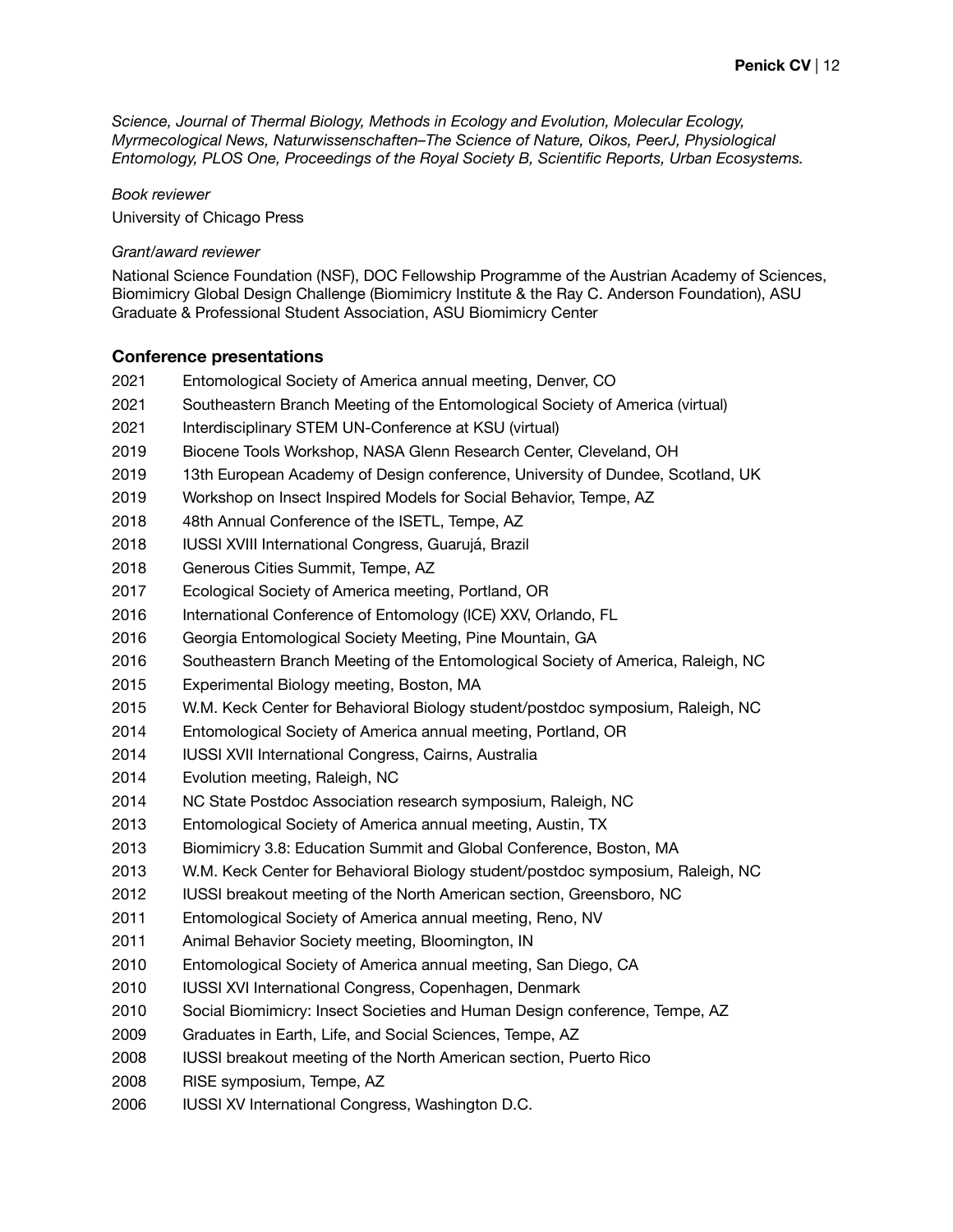*Science, Journal of Thermal Biology, Methods in Ecology and Evolution, Molecular Ecology, Myrmecological News, Naturwissenschaften–The Science of Nature, Oikos, PeerJ, Physiological Entomology, PLOS One, Proceedings of the Royal Society B, Scientific Reports, Urban Ecosystems.* 

*Book reviewer*

University of Chicago Press

#### *Grant/award reviewer*

National Science Foundation (NSF), DOC Fellowship Programme of the Austrian Academy of Sciences, Biomimicry Global Design Challenge (Biomimicry Institute & the Ray C. Anderson Foundation), ASU Graduate & Professional Student Association, ASU Biomimicry Center

#### **Conference presentations**

- Entomological Society of America annual meeting, Denver, CO
- Southeastern Branch Meeting of the Entomological Society of America (virtual)
- Interdisciplinary STEM UN-Conference at KSU (virtual)
- Biocene Tools Workshop, NASA Glenn Research Center, Cleveland, OH
- 2019 13th European Academy of Design conference, University of Dundee, Scotland, UK
- Workshop on Insect Inspired Models for Social Behavior, Tempe, AZ
- 48th Annual Conference of the ISETL, Tempe, AZ
- IUSSI XVIII International Congress, Guarujá, Brazil
- Generous Cities Summit, Tempe, AZ
- Ecological Society of America meeting, Portland, OR
- 2016 International Conference of Entomology (ICE) XXV, Orlando, FL
- Georgia Entomological Society Meeting, Pine Mountain, GA
- Southeastern Branch Meeting of the Entomological Society of America, Raleigh, NC
- Experimental Biology meeting, Boston, MA
- W.M. Keck Center for Behavioral Biology student/postdoc symposium, Raleigh, NC
- Entomological Society of America annual meeting, Portland, OR
- IUSSI XVII International Congress, Cairns, Australia
- Evolution meeting, Raleigh, NC
- NC State Postdoc Association research symposium, Raleigh, NC
- Entomological Society of America annual meeting, Austin, TX
- Biomimicry 3.8: Education Summit and Global Conference, Boston, MA
- W.M. Keck Center for Behavioral Biology student/postdoc symposium, Raleigh, NC
- IUSSI breakout meeting of the North American section, Greensboro, NC
- Entomological Society of America annual meeting, Reno, NV
- Animal Behavior Society meeting, Bloomington, IN
- Entomological Society of America annual meeting, San Diego, CA
- **IUSSI XVI International Congress, Copenhagen, Denmark**
- Social Biomimicry: Insect Societies and Human Design conference, Tempe, AZ
- Graduates in Earth, Life, and Social Sciences, Tempe, AZ
- IUSSI breakout meeting of the North American section, Puerto Rico
- RISE symposium, Tempe, AZ
- IUSSI XV International Congress, Washington D.C.